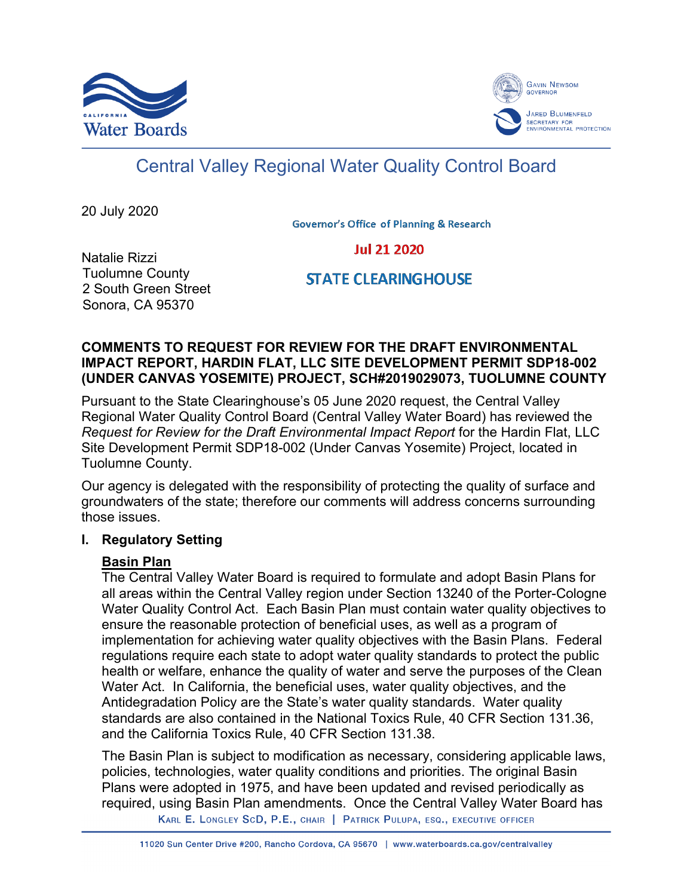



# Central Valley Regional Water Quality Control Board

20 July 2020

**Governor's Office of Planning & Research** 

# **Jul 21 2020**

Natalie Rizzi Tuolumne County 2 South Green Street Sonora, CA 95370

**STATE CLEARINGHOUSE** 

## **COMMENTS TO REQUEST FOR REVIEW FOR THE DRAFT ENVIRONMENTAL IMPACT REPORT, HARDIN FLAT, LLC SITE DEVELOPMENT PERMIT SDP18-002 (UNDER CANVAS YOSEMITE) PROJECT, SCH#2019029073, TUOLUMNE COUNTY**

Pursuant to the State Clearinghouse's 05 June 2020 request, the Central Valley Regional Water Quality Control Board (Central Valley Water Board) has reviewed the *Request for Review for the Draft Environmental Impact Report* for the Hardin Flat, LLC Site Development Permit SDP18-002 (Under Canvas Yosemite) Project, located in Tuolumne County.

Our agency is delegated with the responsibility of protecting the quality of surface and groundwaters of the state; therefore our comments will address concerns surrounding those issues.

#### **I. Regulatory Setting**

# **Basin Plan**

The Central Valley Water Board is required to formulate and adopt Basin Plans for all areas within the Central Valley region under Section 13240 of the Porter-Cologne Water Quality Control Act. Each Basin Plan must contain water quality objectives to ensure the reasonable protection of beneficial uses, as well as a program of implementation for achieving water quality objectives with the Basin Plans. Federal regulations require each state to adopt water quality standards to protect the public health or welfare, enhance the quality of water and serve the purposes of the Clean Water Act. In California, the beneficial uses, water quality objectives, and the Antidegradation Policy are the State's water quality standards. Water quality standards are also contained in the National Toxics Rule, 40 CFR Section 131.36, and the California Toxics Rule, 40 CFR Section 131.38.

The Basin Plan is subject to modification as necessary, considering applicable laws, policies, technologies, water quality conditions and priorities. The original Basin Plans were adopted in 1975, and have been updated and revised periodically as required, using Basin Plan amendments. Once the Central Valley Water Board has

KARL E. LONGLEY SCD, P.E., CHAIR | PATRICK PULUPA, ESQ., EXECUTIVE OFFICER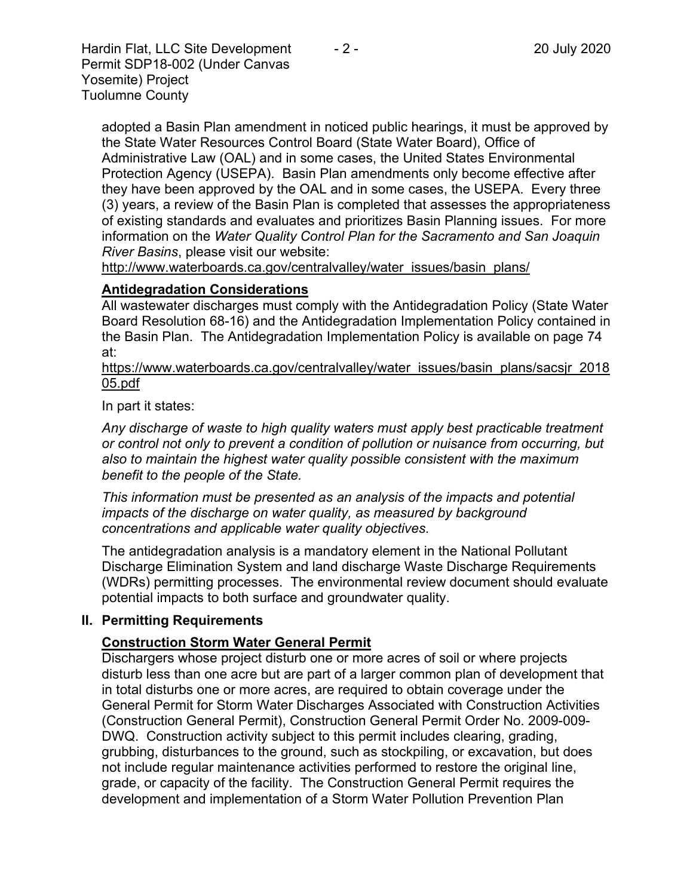Hardin Flat, LLC Site Development  $-2$  - 20 July 2020 Permit SDP18-002 (Under Canvas Yosemite) Project Tuolumne County

adopted a Basin Plan amendment in noticed public hearings, it must be approved by the State Water Resources Control Board (State Water Board), Office of Administrative Law (OAL) and in some cases, the United States Environmental Protection Agency (USEPA). Basin Plan amendments only become effective after they have been approved by the OAL and in some cases, the USEPA. Every three (3) years, a review of the Basin Plan is completed that assesses the appropriateness of existing standards and evaluates and prioritizes Basin Planning issues. For more information on the *Water Quality Control Plan for the Sacramento and San Joaquin River Basins*, please visit our website:

[http://www.waterboards.ca.gov/centralvalley/water\\_issues/basin\\_plans/](http://www.waterboards.ca.gov/centralvalley/water_issues/basin_plans/)

## **Antidegradation Considerations**

All wastewater discharges must comply with the Antidegradation Policy (State Water Board Resolution 68-16) and the Antidegradation Implementation Policy contained in the Basin Plan. The Antidegradation Implementation Policy is available on page 74 at:

https://www.waterboards.ca.gov/centralvalley/water\_issues/basin\_plans/sacsjr\_2018 05.pdf

In part it states:

*Any discharge of waste to high quality waters must apply best practicable treatment or control not only to prevent a condition of pollution or nuisance from occurring, but also to maintain the highest water quality possible consistent with the maximum benefit to the people of the State.*

*This information must be presented as an analysis of the impacts and potential impacts of the discharge on water quality, as measured by background concentrations and applicable water quality objectives.*

The antidegradation analysis is a mandatory element in the National Pollutant Discharge Elimination System and land discharge Waste Discharge Requirements (WDRs) permitting processes. The environmental review document should evaluate potential impacts to both surface and groundwater quality.

#### **II. Permitting Requirements**

# **Construction Storm Water General Permit**

Dischargers whose project disturb one or more acres of soil or where projects disturb less than one acre but are part of a larger common plan of development that in total disturbs one or more acres, are required to obtain coverage under the General Permit for Storm Water Discharges Associated with Construction Activities (Construction General Permit), Construction General Permit Order No. 2009-009- DWQ. Construction activity subject to this permit includes clearing, grading, grubbing, disturbances to the ground, such as stockpiling, or excavation, but does not include regular maintenance activities performed to restore the original line, grade, or capacity of the facility. The Construction General Permit requires the development and implementation of a Storm Water Pollution Prevention Plan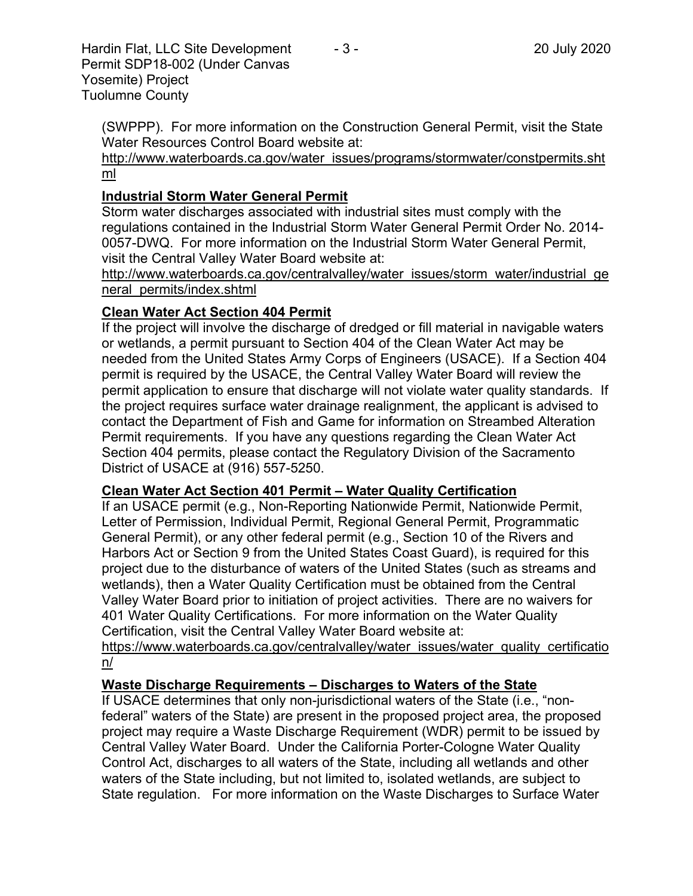(SWPPP). For more information on the Construction General Permit, visit the State Water Resources Control Board website at:

[http://www.waterboards.ca.gov/water\\_issues/programs/stormwater/constpermits.sht](http://www.waterboards.ca.gov/water_issues/programs/stormwater/constpermits.shtml) [ml](http://www.waterboards.ca.gov/water_issues/programs/stormwater/constpermits.shtml)

## **Industrial Storm Water General Permit**

Storm water discharges associated with industrial sites must comply with the regulations contained in the Industrial Storm Water General Permit Order No. 2014- 0057-DWQ. For more information on the Industrial Storm Water General Permit, visit the Central Valley Water Board website at:

http://www.waterboards.ca.gov/centralvalley/water\_issues/storm\_water/industrial\_ge neral\_permits/index.shtml

## **Clean Water Act Section 404 Permit**

If the project will involve the discharge of dredged or fill material in navigable waters or wetlands, a permit pursuant to Section 404 of the Clean Water Act may be needed from the United States Army Corps of Engineers (USACE). If a Section 404 permit is required by the USACE, the Central Valley Water Board will review the permit application to ensure that discharge will not violate water quality standards. If the project requires surface water drainage realignment, the applicant is advised to contact the Department of Fish and Game for information on Streambed Alteration Permit requirements. If you have any questions regarding the Clean Water Act Section 404 permits, please contact the Regulatory Division of the Sacramento District of USACE at (916) 557-5250.

#### **Clean Water Act Section 401 Permit – Water Quality Certification**

If an USACE permit (e.g., Non-Reporting Nationwide Permit, Nationwide Permit, Letter of Permission, Individual Permit, Regional General Permit, Programmatic General Permit), or any other federal permit (e.g., Section 10 of the Rivers and Harbors Act or Section 9 from the United States Coast Guard), is required for this project due to the disturbance of waters of the United States (such as streams and wetlands), then a Water Quality Certification must be obtained from the Central Valley Water Board prior to initiation of project activities. There are no waivers for 401 Water Quality Certifications. For more information on the Water Quality Certification, visit the Central Valley Water Board website at:

https://www.waterboards.ca.gov/centralvalley/water\_issues/water\_quality\_certificatio n/

#### **Waste Discharge Requirements – Discharges to Waters of the State**

If USACE determines that only non-jurisdictional waters of the State (i.e., "nonfederal" waters of the State) are present in the proposed project area, the proposed project may require a Waste Discharge Requirement (WDR) permit to be issued by Central Valley Water Board. Under the California Porter-Cologne Water Quality Control Act, discharges to all waters of the State, including all wetlands and other waters of the State including, but not limited to, isolated wetlands, are subject to State regulation. For more information on the Waste Discharges to Surface Water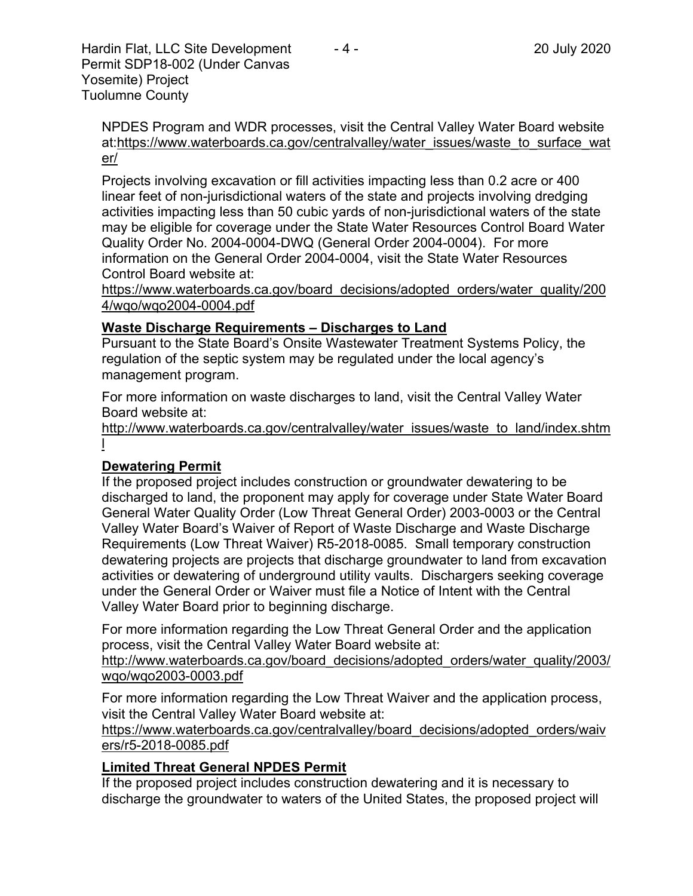NPDES Program and WDR processes, visit the Central Valley Water Board website at:https://www.waterboards.ca.gov/centralvalley/water\_issues/waste\_to\_surface\_wat er/

Projects involving excavation or fill activities impacting less than 0.2 acre or 400 linear feet of non-jurisdictional waters of the state and projects involving dredging activities impacting less than 50 cubic yards of non-jurisdictional waters of the state may be eligible for coverage under the State Water Resources Control Board Water Quality Order No. 2004-0004-DWQ (General Order 2004-0004). For more information on the General Order 2004-0004, visit the State Water Resources Control Board website at:

https://www.waterboards.ca.gov/board\_decisions/adopted\_orders/water\_quality/200 4/wqo/wqo2004-0004.pdf

## **Waste Discharge Requirements – Discharges to Land**

Pursuant to the State Board's Onsite Wastewater Treatment Systems Policy, the regulation of the septic system may be regulated under the local agency's management program.

For more information on waste discharges to land, visit the Central Valley Water Board website at:

http://www.waterboards.ca.gov/centralvalley/water\_issues/waste\_to\_land/index.shtm l

# **Dewatering Permit**

If the proposed project includes construction or groundwater dewatering to be discharged to land, the proponent may apply for coverage under State Water Board General Water Quality Order (Low Threat General Order) 2003-0003 or the Central Valley Water Board's Waiver of Report of Waste Discharge and Waste Discharge Requirements (Low Threat Waiver) R5-2018-0085. Small temporary construction dewatering projects are projects that discharge groundwater to land from excavation activities or dewatering of underground utility vaults. Dischargers seeking coverage under the General Order or Waiver must file a Notice of Intent with the Central Valley Water Board prior to beginning discharge.

For more information regarding the Low Threat General Order and the application process, visit the Central Valley Water Board website at:

http://www.waterboards.ca.gov/board decisions/adopted orders/water quality/2003/ wqo/wqo2003-0003.pdf

For more information regarding the Low Threat Waiver and the application process, visit the Central Valley Water Board website at:

https://www.waterboards.ca.gov/centralvalley/board\_decisions/adopted\_orders/waiv ers/r5-2018-0085.pdf

# **Limited Threat General NPDES Permit**

If the proposed project includes construction dewatering and it is necessary to discharge the groundwater to waters of the United States, the proposed project will